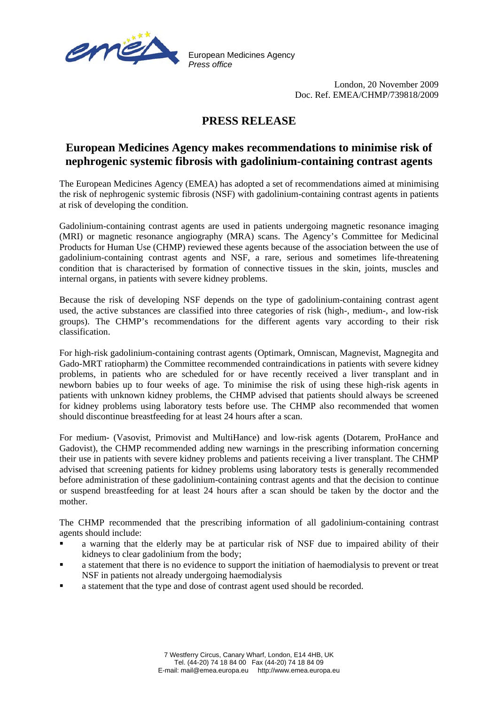

European Medicines Agency *Press office*

> London, 20 November 2009 Doc. Ref. EMEA/CHMP/739818/2009

## **PRESS RELEASE**

## **European Medicines Agency makes recommendations to minimise risk of nephrogenic systemic fibrosis with gadolinium-containing contrast agents**

The European Medicines Agency (EMEA) has adopted a set of recommendations aimed at minimising the risk of nephrogenic systemic fibrosis (NSF) with gadolinium-containing contrast agents in patients at risk of developing the condition.

Gadolinium-containing contrast agents are used in patients undergoing magnetic resonance imaging (MRI) or magnetic resonance angiography (MRA) scans. The Agency's Committee for Medicinal Products for Human Use (CHMP) reviewed these agents because of the association between the use of gadolinium-containing contrast agents and NSF, a rare, serious and sometimes life-threatening condition that is characterised by formation of connective tissues in the skin, joints, muscles and internal organs, in patients with severe kidney problems.

Because the risk of developing NSF depends on the type of gadolinium-containing contrast agent used, the active substances are classified into three categories of risk (high-, medium-, and low-risk groups). The CHMP's recommendations for the different agents vary according to their risk classification.

For high-risk gadolinium-containing contrast agents (Optimark, Omniscan, Magnevist, Magnegita and Gado-MRT ratiopharm) the Committee recommended contraindications in patients with severe kidney problems, in patients who are scheduled for or have recently received a liver transplant and in newborn babies up to four weeks of age. To minimise the risk of using these high-risk agents in patients with unknown kidney problems, the CHMP advised that patients should always be screened for kidney problems using laboratory tests before use. The CHMP also recommended that women should discontinue breastfeeding for at least 24 hours after a scan.

For medium- (Vasovist, Primovist and MultiHance) and low-risk agents (Dotarem, ProHance and Gadovist), the CHMP recommended adding new warnings in the prescribing information concerning their use in patients with severe kidney problems and patients receiving a liver transplant. The CHMP advised that screening patients for kidney problems using laboratory tests is generally recommended before administration of these gadolinium-containing contrast agents and that the decision to continue or suspend breastfeeding for at least 24 hours after a scan should be taken by the doctor and the mother.

The CHMP recommended that the prescribing information of all gadolinium-containing contrast agents should include:

- a warning that the elderly may be at particular risk of NSF due to impaired ability of their kidneys to clear gadolinium from the body;
- a statement that there is no evidence to support the initiation of haemodialysis to prevent or treat NSF in patients not already undergoing haemodialysis
- a statement that the type and dose of contrast agent used should be recorded.